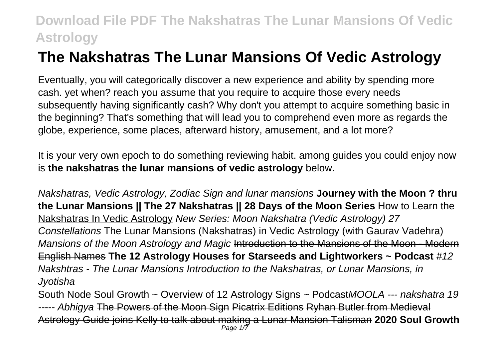# **The Nakshatras The Lunar Mansions Of Vedic Astrology**

Eventually, you will categorically discover a new experience and ability by spending more cash. yet when? reach you assume that you require to acquire those every needs subsequently having significantly cash? Why don't you attempt to acquire something basic in the beginning? That's something that will lead you to comprehend even more as regards the globe, experience, some places, afterward history, amusement, and a lot more?

It is your very own epoch to do something reviewing habit. among guides you could enjoy now is **the nakshatras the lunar mansions of vedic astrology** below.

Nakshatras, Vedic Astrology, Zodiac Sign and lunar mansions **Journey with the Moon ? thru the Lunar Mansions || The 27 Nakshatras || 28 Days of the Moon Series** How to Learn the Nakshatras In Vedic Astrology New Series: Moon Nakshatra (Vedic Astrology) 27 Constellations The Lunar Mansions (Nakshatras) in Vedic Astrology (with Gaurav Vadehra) Mansions of the Moon Astrology and Magic Introduction to the Mansions of the Moon - Modern English Names **The 12 Astrology Houses for Starseeds and Lightworkers ~ Podcast** #12 Nakshtras - The Lunar Mansions Introduction to the Nakshatras, or Lunar Mansions, in **Jyotisha** 

South Node Soul Growth ~ Overview of 12 Astrology Signs ~ PodcastMOOLA --- nakshatra 19 ----- Abhigya The Powers of the Moon Sign Picatrix Editions Ryhan Butler from Medieval Astrology Guide joins Kelly to talk about making a Lunar Mansion Talisman **2020 Soul Growth** Page 1/7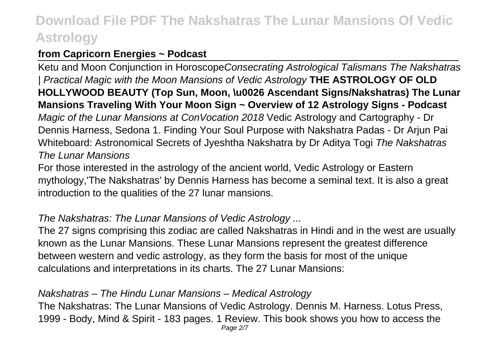## **from Capricorn Energies ~ Podcast**

Ketu and Moon Conjunction in HoroscopeConsecrating Astrological Talismans The Nakshatras | Practical Magic with the Moon Mansions of Vedic Astrology **THE ASTROLOGY OF OLD HOLLYWOOD BEAUTY (Top Sun, Moon, \u0026 Ascendant Signs/Nakshatras) The Lunar Mansions Traveling With Your Moon Sign ~ Overview of 12 Astrology Signs - Podcast** Magic of the Lunar Mansions at ConVocation 2018 Vedic Astrology and Cartography - Dr Dennis Harness, Sedona 1. Finding Your Soul Purpose with Nakshatra Padas - Dr Arjun Pai Whiteboard: Astronomical Secrets of Jyeshtha Nakshatra by Dr Aditya Togi The Nakshatras The Lunar Mansions

For those interested in the astrology of the ancient world, Vedic Astrology or Eastern mythology,'The Nakshatras' by Dennis Harness has become a seminal text. It is also a great introduction to the qualities of the 27 lunar mansions.

## The Nakshatras: The Lunar Mansions of Vedic Astrology ...

The 27 signs comprising this zodiac are called Nakshatras in Hindi and in the west are usually known as the Lunar Mansions. These Lunar Mansions represent the greatest difference between western and vedic astrology, as they form the basis for most of the unique calculations and interpretations in its charts. The 27 Lunar Mansions:

### Nakshatras – The Hindu Lunar Mansions – Medical Astrology

The Nakshatras: The Lunar Mansions of Vedic Astrology. Dennis M. Harness. Lotus Press, 1999 - Body, Mind & Spirit - 183 pages. 1 Review. This book shows you how to access the Page 2/7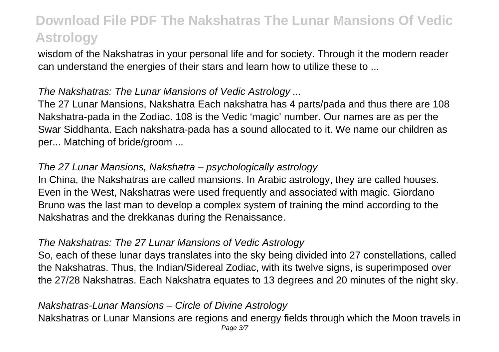wisdom of the Nakshatras in your personal life and for society. Through it the modern reader can understand the energies of their stars and learn how to utilize these to ...

## The Nakshatras: The Lunar Mansions of Vedic Astrology ...

The 27 Lunar Mansions, Nakshatra Each nakshatra has 4 parts/pada and thus there are 108 Nakshatra-pada in the Zodiac. 108 is the Vedic 'magic' number. Our names are as per the Swar Siddhanta. Each nakshatra-pada has a sound allocated to it. We name our children as per... Matching of bride/groom ...

## The 27 Lunar Mansions, Nakshatra – psychologically astrology

In China, the Nakshatras are called mansions. In Arabic astrology, they are called houses. Even in the West, Nakshatras were used frequently and associated with magic. Giordano Bruno was the last man to develop a complex system of training the mind according to the Nakshatras and the drekkanas during the Renaissance.

### The Nakshatras: The 27 Lunar Mansions of Vedic Astrology

So, each of these lunar days translates into the sky being divided into 27 constellations, called the Nakshatras. Thus, the Indian/Sidereal Zodiac, with its twelve signs, is superimposed over the 27/28 Nakshatras. Each Nakshatra equates to 13 degrees and 20 minutes of the night sky.

### Nakshatras-Lunar Mansions – Circle of Divine Astrology

Nakshatras or Lunar Mansions are regions and energy fields through which the Moon travels in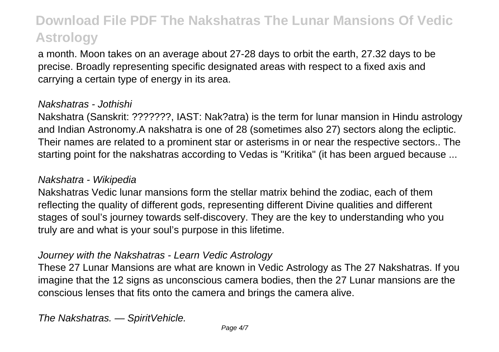a month. Moon takes on an average about 27-28 days to orbit the earth, 27.32 days to be precise. Broadly representing specific designated areas with respect to a fixed axis and carrying a certain type of energy in its area.

#### Nakshatras - Jothishi

Nakshatra (Sanskrit: ???????, IAST: Nak?atra) is the term for lunar mansion in Hindu astrology and Indian Astronomy.A nakshatra is one of 28 (sometimes also 27) sectors along the ecliptic. Their names are related to a prominent star or asterisms in or near the respective sectors.. The starting point for the nakshatras according to Vedas is "Kritika" (it has been argued because ...

#### Nakshatra - Wikipedia

Nakshatras Vedic lunar mansions form the stellar matrix behind the zodiac, each of them reflecting the quality of different gods, representing different Divine qualities and different stages of soul's journey towards self-discovery. They are the key to understanding who you truly are and what is your soul's purpose in this lifetime.

### Journey with the Nakshatras - Learn Vedic Astrology

These 27 Lunar Mansions are what are known in Vedic Astrology as The 27 Nakshatras. If you imagine that the 12 signs as unconscious camera bodies, then the 27 Lunar mansions are the conscious lenses that fits onto the camera and brings the camera alive.

The Nakshatras. — SpiritVehicle.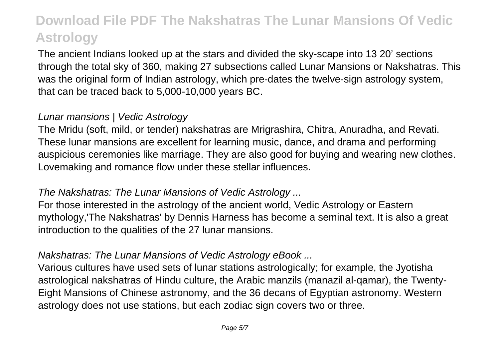The ancient Indians looked up at the stars and divided the sky-scape into 13 20' sections through the total sky of 360, making 27 subsections called Lunar Mansions or Nakshatras. This was the original form of Indian astrology, which pre-dates the twelve-sign astrology system, that can be traced back to 5,000-10,000 years BC.

#### Lunar mansions | Vedic Astrology

The Mridu (soft, mild, or tender) nakshatras are Mrigrashira, Chitra, Anuradha, and Revati. These lunar mansions are excellent for learning music, dance, and drama and performing auspicious ceremonies like marriage. They are also good for buying and wearing new clothes. Lovemaking and romance flow under these stellar influences.

### The Nakshatras: The Lunar Mansions of Vedic Astrology ...

For those interested in the astrology of the ancient world, Vedic Astrology or Eastern mythology,'The Nakshatras' by Dennis Harness has become a seminal text. It is also a great introduction to the qualities of the 27 lunar mansions.

## Nakshatras: The Lunar Mansions of Vedic Astrology eBook ...

Various cultures have used sets of lunar stations astrologically; for example, the Jyotisha astrological nakshatras of Hindu culture, the Arabic manzils (manazil al-qamar), the Twenty-Eight Mansions of Chinese astronomy, and the 36 decans of Egyptian astronomy. Western astrology does not use stations, but each zodiac sign covers two or three.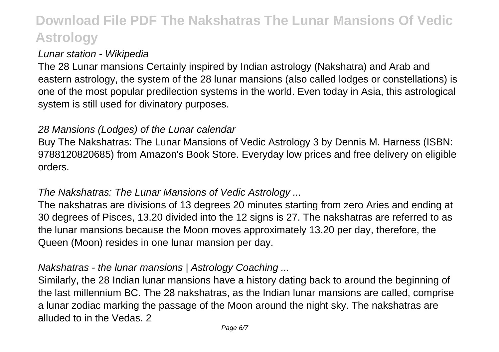### Lunar station - Wikipedia

The 28 Lunar mansions Certainly inspired by Indian astrology (Nakshatra) and Arab and eastern astrology, the system of the 28 lunar mansions (also called lodges or constellations) is one of the most popular predilection systems in the world. Even today in Asia, this astrological system is still used for divinatory purposes.

#### 28 Mansions (Lodges) of the Lunar calendar

Buy The Nakshatras: The Lunar Mansions of Vedic Astrology 3 by Dennis M. Harness (ISBN: 9788120820685) from Amazon's Book Store. Everyday low prices and free delivery on eligible orders.

## The Nakshatras: The Lunar Mansions of Vedic Astrology ...

The nakshatras are divisions of 13 degrees 20 minutes starting from zero Aries and ending at 30 degrees of Pisces, 13.20 divided into the 12 signs is 27. The nakshatras are referred to as the lunar mansions because the Moon moves approximately 13.20 per day, therefore, the Queen (Moon) resides in one lunar mansion per day.

### Nakshatras - the lunar mansions | Astrology Coaching ...

Similarly, the 28 Indian lunar mansions have a history dating back to around the beginning of the last millennium BC. The 28 nakshatras, as the Indian lunar mansions are called, comprise a lunar zodiac marking the passage of the Moon around the night sky. The nakshatras are alluded to in the Vedas. 2